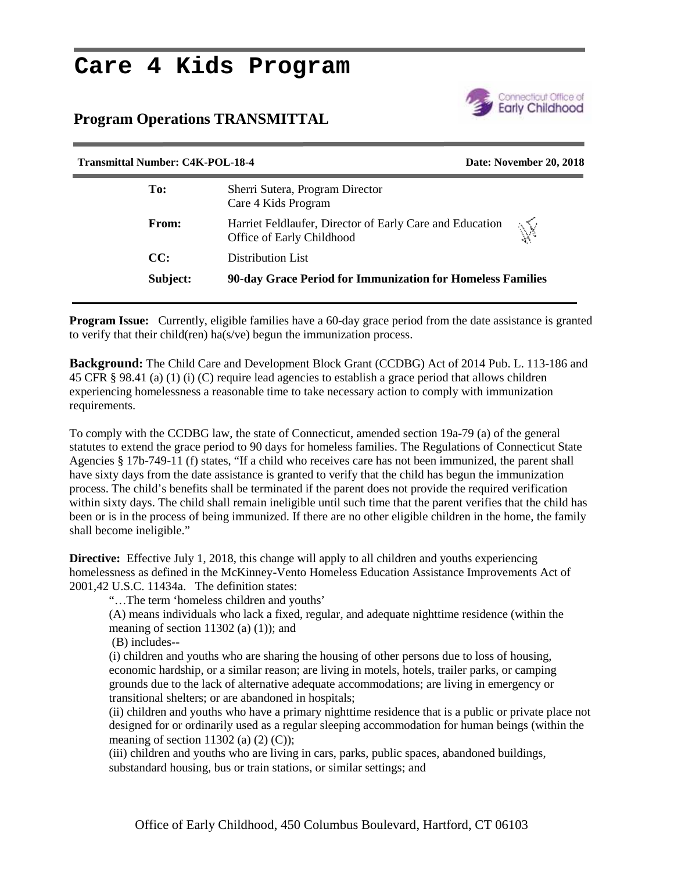## **Care 4 Kids Program**

## **Program Operations TRANSMITTAL**



| <b>Transmittal Number: C4K-POL-18-4</b> |                                                                                       | Date: November 20, 2018                                    |  |
|-----------------------------------------|---------------------------------------------------------------------------------------|------------------------------------------------------------|--|
| To:                                     | Sherri Sutera, Program Director<br>Care 4 Kids Program                                |                                                            |  |
| From:                                   | Harriet Feldlaufer, Director of Early Care and Education<br>Office of Early Childhood | $\mathbb{N}$                                               |  |
| CC:                                     | Distribution List                                                                     |                                                            |  |
| Subject:                                |                                                                                       | 90-day Grace Period for Immunization for Homeless Families |  |
|                                         |                                                                                       |                                                            |  |

**Program Issue:** Currently, eligible families have a 60-day grace period from the date assistance is granted to verify that their child(ren) ha(s/ve) begun the immunization process.

**Background:** The Child Care and Development Block Grant (CCDBG) Act of 2014 Pub. L. 113-186 and 45 CFR § 98.41 (a) (1) (i) (C) require lead agencies to establish a grace period that allows children experiencing homelessness a reasonable time to take necessary action to comply with immunization requirements.

To comply with the CCDBG law, the state of Connecticut, amended section 19a-79 (a) of the general statutes to extend the grace period to 90 days for homeless families. The Regulations of Connecticut State Agencies § 17b-749-11 (f) states, "If a child who receives care has not been immunized, the parent shall have sixty days from the date assistance is granted to verify that the child has begun the immunization process. The child's benefits shall be terminated if the parent does not provide the required verification within sixty days. The child shall remain ineligible until such time that the parent verifies that the child has been or is in the process of being immunized. If there are no other eligible children in the home, the family shall become ineligible."

**Directive:** Effective July 1, 2018, this change will apply to all children and youths experiencing homelessness as defined in the McKinney-Vento Homeless Education Assistance Improvements Act of 2001,42 U.S.C. 11434a. The definition states:

"…The term 'homeless children and youths'

(A) means individuals who lack a fixed, regular, and adequate nighttime residence (within the meaning of section 11302 (a)  $(1)$ ; and

(B) includes--

(i) children and youths who are sharing the housing of other persons due to loss of housing, economic hardship, or a similar reason; are living in motels, hotels, trailer parks, or camping grounds due to the lack of alternative adequate accommodations; are living in emergency or transitional shelters; or are abandoned in hospitals;

(ii) children and youths who have a primary nighttime residence that is a public or private place not designed for or ordinarily used as a regular sleeping accommodation for human beings (within the meaning of section 11302 (a)  $(2)$   $(C)$ );

(iii) children and youths who are living in cars, parks, public spaces, abandoned buildings, substandard housing, bus or train stations, or similar settings; and